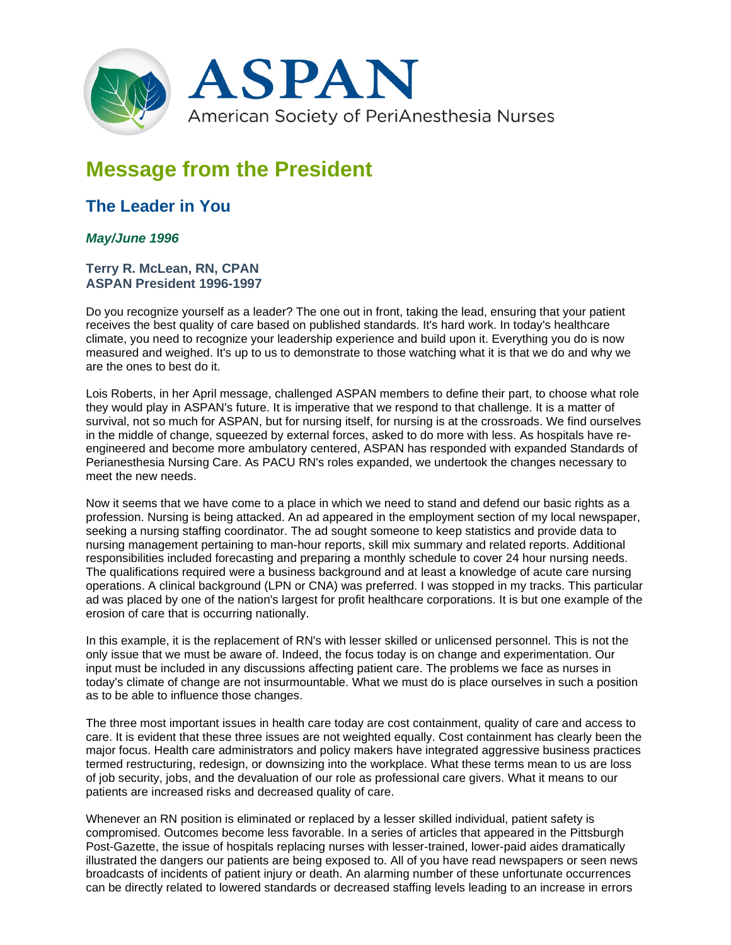

## **Message from the President**

## **The Leader in You**

## *May/June 1996*

## **Terry R. McLean, RN, CPAN ASPAN President 1996-1997**

Do you recognize yourself as a leader? The one out in front, taking the lead, ensuring that your patient receives the best quality of care based on published standards. It's hard work. In today's healthcare climate, you need to recognize your leadership experience and build upon it. Everything you do is now measured and weighed. It's up to us to demonstrate to those watching what it is that we do and why we are the ones to best do it.

Lois Roberts, in her April message, challenged ASPAN members to define their part, to choose what role they would play in ASPAN's future. It is imperative that we respond to that challenge. It is a matter of survival, not so much for ASPAN, but for nursing itself, for nursing is at the crossroads. We find ourselves in the middle of change, squeezed by external forces, asked to do more with less. As hospitals have reengineered and become more ambulatory centered, ASPAN has responded with expanded Standards of Perianesthesia Nursing Care. As PACU RN's roles expanded, we undertook the changes necessary to meet the new needs.

Now it seems that we have come to a place in which we need to stand and defend our basic rights as a profession. Nursing is being attacked. An ad appeared in the employment section of my local newspaper, seeking a nursing staffing coordinator. The ad sought someone to keep statistics and provide data to nursing management pertaining to man-hour reports, skill mix summary and related reports. Additional responsibilities included forecasting and preparing a monthly schedule to cover 24 hour nursing needs. The qualifications required were a business background and at least a knowledge of acute care nursing operations. A clinical background (LPN or CNA) was preferred. I was stopped in my tracks. This particular ad was placed by one of the nation's largest for profit healthcare corporations. It is but one example of the erosion of care that is occurring nationally.

In this example, it is the replacement of RN's with lesser skilled or unlicensed personnel. This is not the only issue that we must be aware of. Indeed, the focus today is on change and experimentation. Our input must be included in any discussions affecting patient care. The problems we face as nurses in today's climate of change are not insurmountable. What we must do is place ourselves in such a position as to be able to influence those changes.

The three most important issues in health care today are cost containment, quality of care and access to care. It is evident that these three issues are not weighted equally. Cost containment has clearly been the major focus. Health care administrators and policy makers have integrated aggressive business practices termed restructuring, redesign, or downsizing into the workplace. What these terms mean to us are loss of job security, jobs, and the devaluation of our role as professional care givers. What it means to our patients are increased risks and decreased quality of care.

Whenever an RN position is eliminated or replaced by a lesser skilled individual, patient safety is compromised. Outcomes become less favorable. In a series of articles that appeared in the Pittsburgh Post-Gazette, the issue of hospitals replacing nurses with lesser-trained, lower-paid aides dramatically illustrated the dangers our patients are being exposed to. All of you have read newspapers or seen news broadcasts of incidents of patient injury or death. An alarming number of these unfortunate occurrences can be directly related to lowered standards or decreased staffing levels leading to an increase in errors